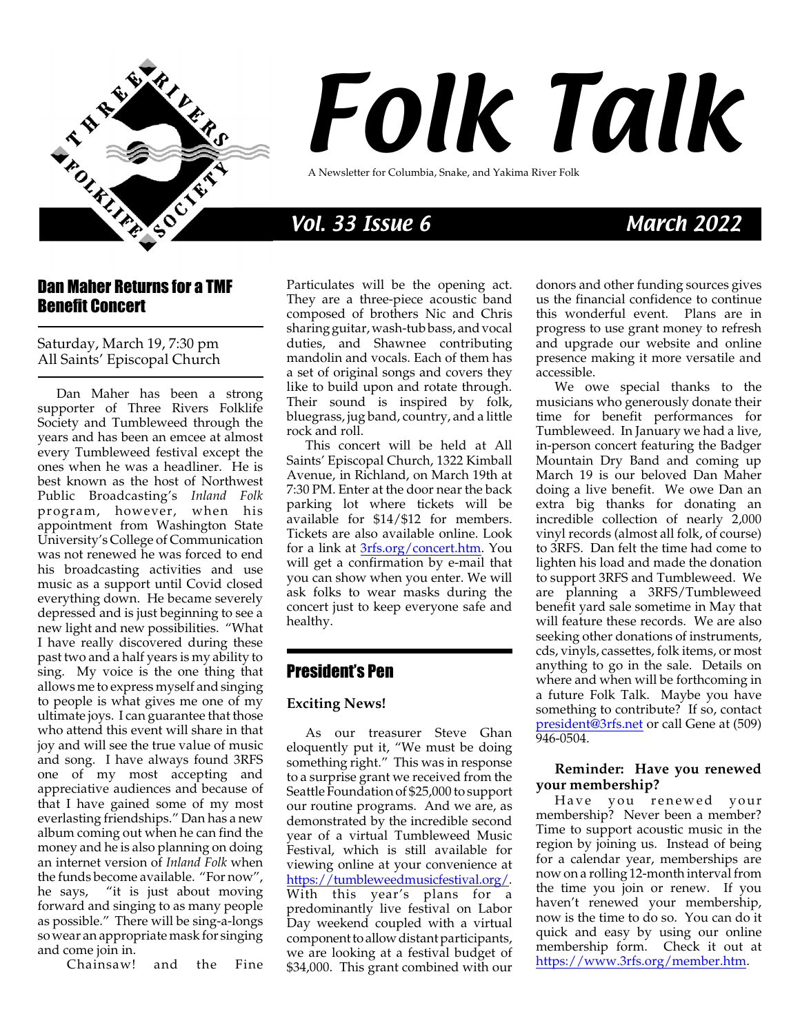

# Folk Talk

A Newsletter for Columbia, Snake, and Yakima River Folk

## Vol. 33 Issue 6 March 2022

#### Dan Maher Returns for a TMF Benefit Concert

Saturday, March 19, 7:30 pm All Saints' Episcopal Church

Dan Maher has been a strong supporter of Three Rivers Folklife Society and Tumbleweed through the years and has been an emcee at almost every Tumbleweed festival except the ones when he was a headliner. He is best known as the host of Northwest Public Broadcasting's *Inland Folk* program, however, when his appointment from Washington State University's College of Communication was not renewed he was forced to end his broadcasting activities and use music as a support until Covid closed everything down. He became severely depressed and is just beginning to see a new light and new possibilities. "What I have really discovered during these past two and a half years is my ability to sing. My voice is the one thing that allowsme to express myself and singing to people is what gives me one of my ultimate joys. I can guarantee that those who attend this event will share in that joy and will see the true value of music and song. I have always found 3RFS one of my most accepting and appreciative audiences and because of that I have gained some of my most everlasting friendships." Dan has a new album coming out when he can find the money and he is also planning on doing an internet version of *Inland Folk* when the funds become available. "For now", he says, "it is just about moving forward and singing to as many people as possible." There will be sing-a-longs sowear an appropriate mask for singing and come join in.

Chainsaw! and the Fine

Particulates will be the opening act. They are a three-piece acoustic band composed of brothers Nic and Chris sharing guitar, wash-tub bass, andvocal duties, and Shawnee contributing mandolin and vocals. Each of them has a set of original songs and covers they like to build upon and rotate through. Their sound is inspired by folk, bluegrass, jug band, country, and a little rock and roll.

This concert will be held at All Saints' Episcopal Church, 1322 Kimball Avenue, in Richland, on March 19th at 7:30 PM. Enter at the door near the back parking lot where tickets will be available for \$14/\$12 for members. Tickets are also available online. Look for a link at [3rfs.org/concert.htm](https://3rfs.net/?page_id=257&civiwp=CiviCRM&q=civicrm%2Fevent%2Finfo&reset=1&id=8). You will get a confirmation by e-mail that you can show when you enter. We will ask folks to wear masks during the concert just to keep everyone safe and healthy.

### President's Pen

#### **Exciting News!**

As our treasurer Steve Ghan eloquently put it, "We must be doing something right." This was in response to a surprise grant we received from the Seattle Foundation of \$25,000 to support our routine programs. And we are, as demonstrated by the incredible second year of a virtual Tumbleweed Music Festival, which is still available for viewing online at your convenience at <https://tumbleweedmusicfestival.org/>. With this year's plans for a predominantly live festival on Labor Day weekend coupled with a virtual component to allow distant participants, we are looking at a festival budget of \$34,000. This grant combined with our

donors and other funding sources gives us the financial confidence to continue this wonderful event. Plans are in progress to use grant money to refresh and upgrade our website and online presence making it more versatile and accessible.

We owe special thanks to the musicians who generously donate their time for benefit performances for Tumbleweed. In January we had a live, in-person concert featuring the Badger Mountain Dry Band and coming up March 19 is our beloved Dan Maher doing a live benefit. We owe Dan an extra big thanks for donating an incredible collection of nearly 2,000 vinyl records (almost all folk, of course) to 3RFS. Dan felt the time had come to lighten his load and made the donation to support 3RFS and Tumbleweed. We are planning a 3RFS/Tumbleweed benefit yard sale sometime in May that will feature these records. We are also seeking other donations of instruments, cds, vinyls, cassettes, folk items, or most anything to go in the sale. Details on where and when will be forthcoming in a future Folk Talk. Maybe you have something to contribute? If so, contact [president@3rfs.net](mailto://president@3rfs.net) or call Gene at (509) 946-0504.

#### **Reminder: Have you renewed your membership?**

Have you renewed your membership? Never been a member? Time to support acoustic music in the region by joining us. Instead of being for a calendar year, memberships are now on a rolling 12-month interval from the time you join or renew. If you haven't renewed your membership, now is the time to do so. You can do it quick and easy by using our online membership form. Check it out at <https://www.3rfs.org/member.htm>.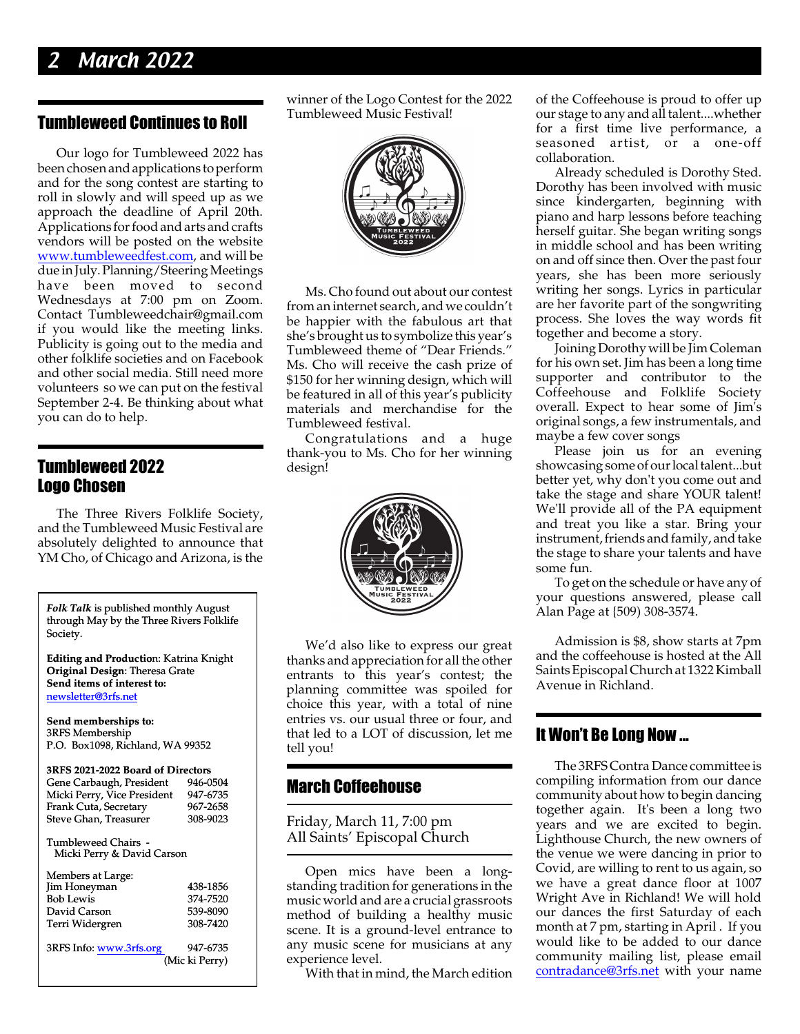## **March 2022**

#### Tumbleweed Continues to Roll

Our logo for Tumbleweed 2022 has been chosen and applications to perform and for the song contest are starting to roll in slowly and will speed up as we approach the deadline of April 20th. Applications for food and arts and crafts vendors will be posted on the website [www.tumbleweedfest.com](http://www.tumbleweedfest.com), and will be due in July.Planning/Steering Meetings have been moved to second Wednesdays at 7:00 pm on Zoom. Contact Tumbleweedchair@gmail.com if you would like the meeting links. Publicity is going out to the media and other folklife societies and on Facebook and other social media. Still need more volunteers so we can put on the festival September 2-4. Be thinking about what you can do to help.

#### Tumbleweed 2022 Logo Chosen

The Three Rivers Folklife Society, and the Tumbleweed Music Festival are absolutely delighted to announce that YM Cho, of Chicago and Arizona, is the

*Folk Talk* is published monthly August through May by the Three Rivers Folklife Society.

**Editing and Productio**n: Katrina Knight **Original Design**: Theresa Grate **Send items of interest to:** [newsletter@3rfs.net](mailto://newsletter@3rfs.net)

**Send memberships to:** 3RFS Membership P.O. Box1098, Richland, WA 99352

| 3RFS 2021-2022 Board of Directors                 |          |  |  |  |  |
|---------------------------------------------------|----------|--|--|--|--|
| Gene Carbaugh, President                          | 946-0504 |  |  |  |  |
| Micki Perry, Vice President                       | 947-6735 |  |  |  |  |
| Frank Cuta, Secretary                             | 967-2658 |  |  |  |  |
| Steve Ghan, Treasurer                             | 308-9023 |  |  |  |  |
| Tumbleweed Chairs -<br>Micki Perry & David Carson |          |  |  |  |  |
| $M = 1$                                           |          |  |  |  |  |

| Members at Large:       |                |
|-------------------------|----------------|
| Jim Honeyman            | 438-1856       |
| <b>Bob Lewis</b>        | 374-7520       |
| David Carson            | 539-8090       |
| Terri Widergren         | 308-7420       |
|                         |                |
| 3RFS Info: www.3rfs.org | 947-6735       |
|                         | (Mic ki Perry) |

winner of the Logo Contest for the 2022 Tumbleweed Music Festival!



Ms. Cho found out about our contest froman internet search, and we couldn't be happier with the fabulous art that she's brought us to symbolize this year's Tumbleweed theme of "Dear Friends." Ms. Cho will receive the cash prize of \$150 for her winning design, which will be featured in all of this year's publicity materials and merchandise for the Tumbleweed festival.

Congratulations and a huge thank-you to Ms. Cho for her winning design!



We'd also like to express our great thanks and appreciation for all the other entrants to this year's contest; the planning committee was spoiled for choice this year, with a total of nine entries vs. our usual three or four, and that led to a LOT of discussion, let me tell you!

#### March Coffeehouse

Friday, March 11, 7:00 pm All Saints' Episcopal Church

Open mics have been a longstanding tradition for generations in the music world and are a crucial grassroots method of building a healthy music scene. It is a ground-level entrance to any music scene for musicians at any experience level.

With that in mind, the March edition

of the Coffeehouse is proud to offer up our stage to any and all talent....whether for a first time live performance, a seasoned artist, or a one-off collaboration.

Already scheduled is Dorothy Sted. Dorothy has been involved with music since kindergarten, beginning with piano and harp lessons before teaching herself guitar. She began writing songs in middle school and has been writing on and off since then. Over the past four years, she has been more seriously writing her songs. Lyrics in particular are her favorite part of the songwriting process. She loves the way words fit together and become a story.

JoiningDorothy will be Jim Coleman for his own set. Jim has been a long time supporter and contributor to the Coffeehouse and Folklife Society overall. Expect to hear some of Jim's original songs, a few instrumentals, and maybe a few cover songs

Please join us for an evening showcasing some of our local talent...but better yet, why don't you come out and take the stage and share YOUR talent! We'll provide all of the PA equipment and treat you like a star. Bring your instrument, friends and family, and take the stage to share your talents and have some fun.

To get on the schedule or have any of your questions answered, please call Alan Page at {509) 308-3574.

Admission is \$8, show starts at 7pm and the coffeehouse is hosted at the All SaintsEpiscopal Church at 1322 Kimball Avenue in Richland.

#### It Won't Be Long Now ...

The 3RFS Contra Dance committee is compiling information from our dance community about how to begin dancing together again. It's been a long two years and we are excited to begin. Lighthouse Church, the new owners of the venue we were dancing in prior to Covid, are willing to rent to us again, so we have a great dance floor at 1007 Wright Ave in Richland! We will hold our dances the first Saturday of each month at 7 pm, starting in April . If you would like to be added to our dance community mailing list, please email [contradance@3rfs.net](mailto://contradance@3rfs.net) with your name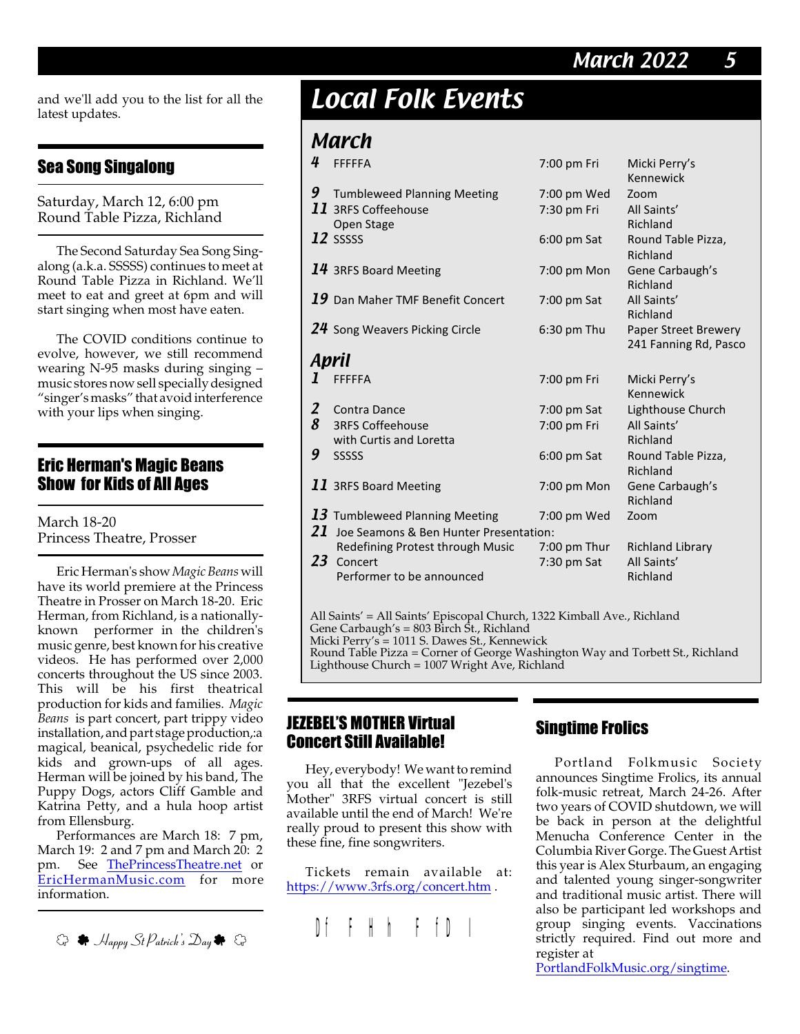## March 2022 5

and we'll add you to the list for all the latest updates.

#### Sea Song Singalong

Saturday, March 12, 6:00 pm Round Table Pizza, Richland

The Second Saturday Sea Song Singalong (a.k.a. SSSSS) continues to meet at Round Table Pizza in Richland. We'll meet to eat and greet at 6pm and will start singing when most have eaten.

The COVID conditions continue to evolve, however, we still recommend wearing N-95 masks during singing – music stores now sell speciallydesigned "singer's masks" that avoid interference with your lips when singing.

#### Eric Herman's Magic Beans Show for Kids of All Ages

March 18-20 Princess Theatre, Prosser

Eric Herman's show*Magic Beans* will have its world premiere at the Princess Theatre in Prosser on March 18-20. Eric Herman, from Richland, is a nationallyknown performer in the children's music genre, best known for his creative videos. He has performed over 2,000 concerts throughout the US since 2003. This will be his first theatrical production for kids and families. *Magic Beans* is part concert, part trippy video installation, and part stage production,:a magical, beanical, psychedelic ride for kids and grown-ups of all ages. Herman will be joined by his band, The Puppy Dogs, actors Cliff Gamble and Katrina Petty, and a hula hoop artist from Ellensburg.

Performances are March 18: 7 pm, March 19: 2 and 7 pm and March 20: 2 pm. See [ThePrincessTheatre.net](https://ThePrincessTheatre.net) or [EricHermanMusic.com](https://EricHermanMusic.com) for more information.



# Local Folk Events

## March

| 4                                                                                                                                           | <b>FFFFFA</b>                          | 7:00 pm Fri    | Micki Perry's               |  |  |
|---------------------------------------------------------------------------------------------------------------------------------------------|----------------------------------------|----------------|-----------------------------|--|--|
|                                                                                                                                             |                                        |                | Kennewick                   |  |  |
| 9                                                                                                                                           | <b>Tumbleweed Planning Meeting</b>     | 7:00 pm Wed    | Zoom                        |  |  |
|                                                                                                                                             | 11 3RFS Coffeehouse                    | 7:30 pm Fri    | All Saints'                 |  |  |
|                                                                                                                                             | Open Stage                             |                | Richland                    |  |  |
|                                                                                                                                             | $12$ ssssss                            | $6:00$ pm Sat  | Round Table Pizza,          |  |  |
|                                                                                                                                             |                                        |                | Richland                    |  |  |
|                                                                                                                                             | $14$ 3RFS Board Meeting                | 7:00 pm Mon    | Gene Carbaugh's             |  |  |
|                                                                                                                                             |                                        |                | Richland                    |  |  |
|                                                                                                                                             | $19$ Dan Maher TMF Benefit Concert     | 7:00 pm Sat    | All Saints'                 |  |  |
|                                                                                                                                             |                                        |                | Richland                    |  |  |
|                                                                                                                                             | 24 Song Weavers Picking Circle         | $6:30$ pm Thu  | <b>Paper Street Brewery</b> |  |  |
|                                                                                                                                             |                                        |                | 241 Fanning Rd, Pasco       |  |  |
|                                                                                                                                             | April                                  |                |                             |  |  |
| I                                                                                                                                           | <b>FFFFFA</b>                          | 7:00 pm Fri    | Micki Perry's               |  |  |
|                                                                                                                                             |                                        |                | Kennewick                   |  |  |
| $\boldsymbol{2}$                                                                                                                            | Contra Dance                           | $7:00$ pm Sat  | Lighthouse Church           |  |  |
| 8                                                                                                                                           | <b>3RFS Coffeehouse</b>                | 7:00 pm Fri    | All Saints'                 |  |  |
|                                                                                                                                             | with Curtis and Loretta                |                | Richland                    |  |  |
| 9                                                                                                                                           | SSSSS                                  | $6:00$ pm Sat  | Round Table Pizza,          |  |  |
|                                                                                                                                             |                                        |                | Richland                    |  |  |
|                                                                                                                                             | $\bm{11}$ 3RFS Board Meeting           | 7:00 pm Mon    | Gene Carbaugh's             |  |  |
|                                                                                                                                             |                                        |                | Richland                    |  |  |
|                                                                                                                                             | $13$ Tumbleweed Planning Meeting       | 7:00 pm Wed    | Zoom                        |  |  |
| 21                                                                                                                                          | Joe Seamons & Ben Hunter Presentation: |                |                             |  |  |
|                                                                                                                                             | Redefining Protest through Music       | $7:00$ pm Thur | <b>Richland Library</b>     |  |  |
| 23                                                                                                                                          | Concert                                | 7:30 pm Sat    | All Saints'                 |  |  |
|                                                                                                                                             | Performer to be announced              |                | Richland                    |  |  |
|                                                                                                                                             |                                        |                |                             |  |  |
| All Saints' = All Saints' Episcopal Church, 1322 Kimball Ave., Richland                                                                     |                                        |                |                             |  |  |
| $\overline{C}$ and $\overline{C}$ and $\overline{D}$ and $\overline{C}$ $\overline{D}$ and $\overline{C}$ $\overline{D}$ and $\overline{D}$ |                                        |                |                             |  |  |

Gene Carbaugh's = 803 Birch St., Richland

Micki Perry's = 1011 S. Dawes St., Kennewick

Round Table Pizza = Corner of George Washington Way and Torbett St., Richland Lighthouse Church = 1007 Wright Ave, Richland

#### JEZEBEL'S MOTHER Virtual Concert Still Available!

Hey, everybody! We want to remind you all that the excellent "Jezebel's Mother" 3RFS virtual concert is still available until the end of March! We're really proud to present this show with these fine, fine songwriters.

Tickets remain available at: [https://www.3rfs.org/concert.htm](https://3rfs.net/?page_id=257&civiwp=CiviCRM&q=civicrm%2Fevent%2Finfo&reset=1&id=6) .

## Df F H h F fD I

### Singtime Frolics

Portland Folkmusic Society announces Singtime Frolics, its annual folk-music retreat, March 24-26. After two years of COVID shutdown, we will be back in person at the delightful Menucha Conference Center in the ColumbiaRiver Gorge. The Guest Artist this year is Alex Sturbaum, an engaging and talented young singer-songwriter and traditional music artist. There will also be participant led workshops and group singing events. Vaccinations strictly required. Find out more and register at

[PortlandFolkMusic.org/singtime](https://PortlandFolkMusic.org/singtime).